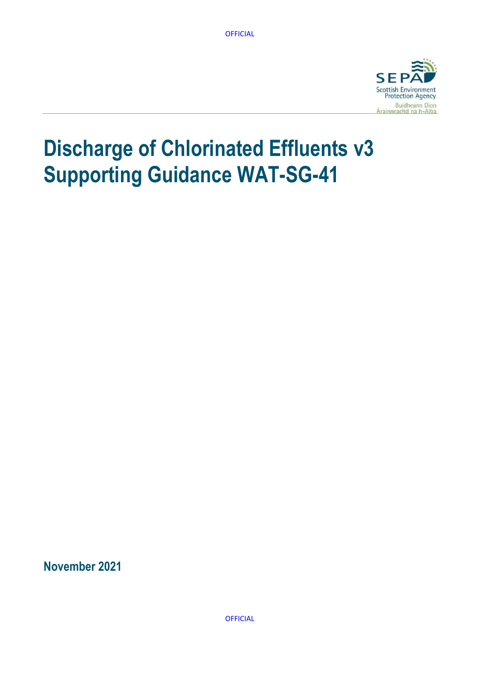

# **Discharge of Chlorinated Effluents v3 Supporting Guidance WAT-SG-41**

**November 2021**

**OFFICIAL**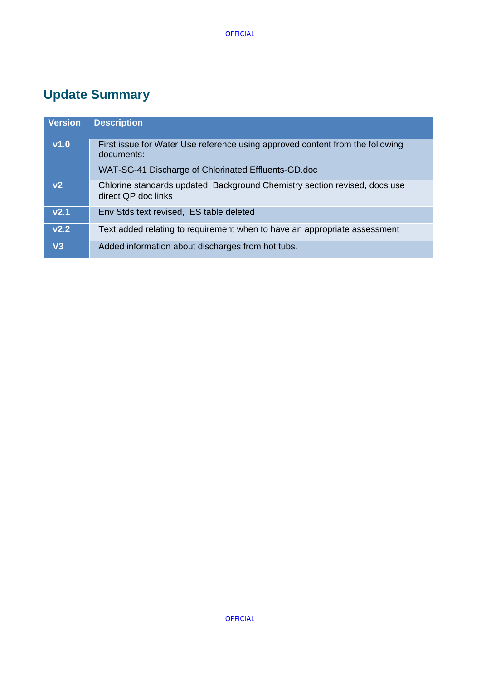# <span id="page-1-0"></span>**Update Summary**

| <b>Version</b>   | <b>Description</b>                                                                                |
|------------------|---------------------------------------------------------------------------------------------------|
| v1.0             | First issue for Water Use reference using approved content from the following<br>documents:       |
|                  | WAT-SG-41 Discharge of Chlorinated Effluents-GD.doc                                               |
| v <sub>2</sub>   | Chlorine standards updated, Background Chemistry section revised, docs use<br>direct QP doc links |
| V <sub>2.1</sub> | Env Stds text revised, ES table deleted                                                           |
| V <sub>2.2</sub> | Text added relating to requirement when to have an appropriate assessment                         |
| V3               | Added information about discharges from hot tubs.                                                 |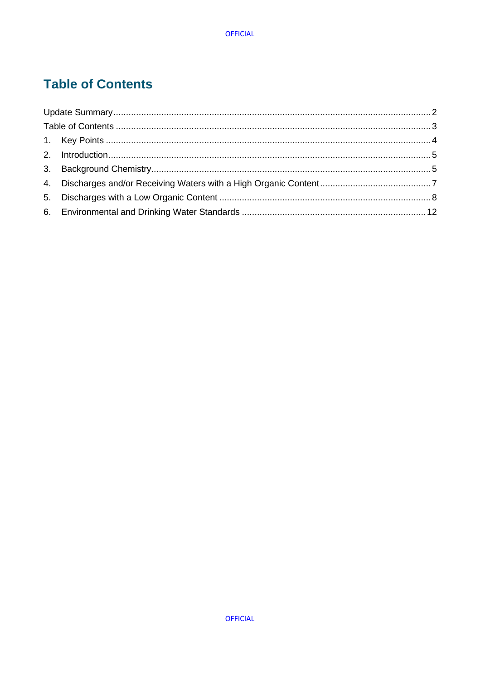# <span id="page-2-0"></span>**Table of Contents**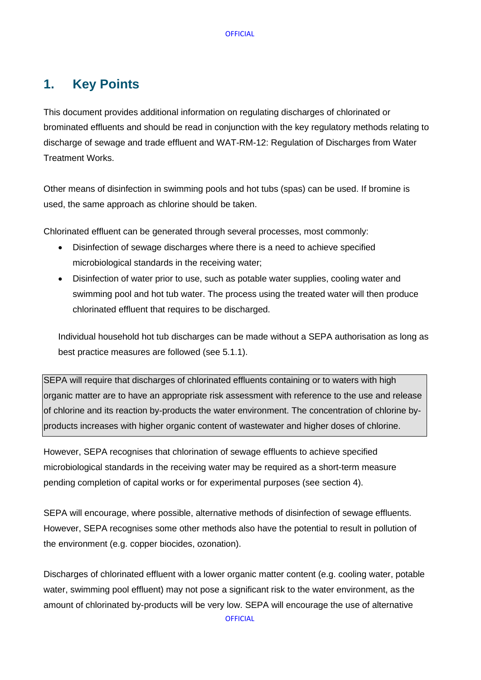# <span id="page-3-0"></span>**1. Key Points**

This document provides additional information on regulating discharges of chlorinated or brominated effluents and should be read in conjunction with the key regulatory methods relating to discharge of sewage and trade effluent and [WAT-RM-12: Regulation of Discharges from Water](http://stir-app-qpl01/QPulseDocumentService/Documents.svc/documents/active/attachment?number=WAT-RM-12)  [Treatment Works.](http://stir-app-qpl01/QPulseDocumentService/Documents.svc/documents/active/attachment?number=WAT-RM-12)

Other means of disinfection in swimming pools and hot tubs (spas) can be used. If bromine is used, the same approach as chlorine should be taken.

Chlorinated effluent can be generated through several processes, most commonly:

- Disinfection of sewage discharges where there is a need to achieve specified microbiological standards in the receiving water;
- Disinfection of water prior to use, such as potable water supplies, cooling water and swimming pool and hot tub water. The process using the treated water will then produce chlorinated effluent that requires to be discharged.

Individual household hot tub discharges can be made without a SEPA authorisation as long as best practice measures are followed (see 5.1.1).

SEPA will require that discharges of chlorinated effluents containing or to waters with high organic matter are to have an appropriate risk assessment with reference to the use and release of chlorine and its reaction by-products the water environment. The concentration of chlorine byproducts increases with higher organic content of wastewater and higher doses of chlorine.

However, SEPA recognises that chlorination of sewage effluents to achieve specified microbiological standards in the receiving water may be required as a short-term measure pending completion of capital works or for experimental purposes (see section 4).

SEPA will encourage, where possible, alternative methods of disinfection of sewage effluents. However, SEPA recognises some other methods also have the potential to result in pollution of the environment (e.g. copper biocides, ozonation).

Discharges of chlorinated effluent with a lower organic matter content (e.g. cooling water, potable water, swimming pool effluent) may not pose a significant risk to the water environment, as the amount of chlorinated by-products will be very low. SEPA will encourage the use of alternative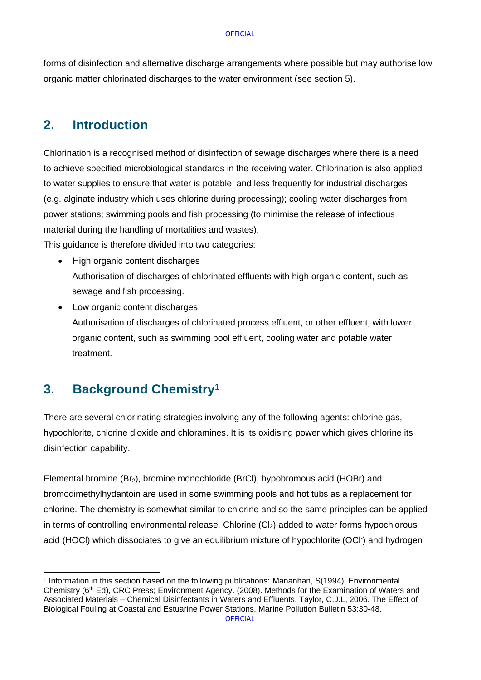forms of disinfection and alternative discharge arrangements where possible but may authorise low organic matter chlorinated discharges to the water environment (see section 5).

# <span id="page-4-0"></span>**2. Introduction**

Chlorination is a recognised method of disinfection of sewage discharges where there is a need to achieve specified microbiological standards in the receiving water. Chlorination is also applied to water supplies to ensure that water is potable, and less frequently for industrial discharges (e.g. alginate industry which uses chlorine during processing); cooling water discharges from power stations; swimming pools and fish processing (to minimise the release of infectious material during the handling of mortalities and wastes).

This guidance is therefore divided into two categories:

- High organic content discharges Authorisation of discharges of chlorinated effluents with high organic content, such as sewage and fish processing.
- Low organic content discharges Authorisation of discharges of chlorinated process effluent, or other effluent, with lower organic content, such as swimming pool effluent, cooling water and potable water treatment.

# <span id="page-4-1"></span>**3. Background Chemistry<sup>1</sup>**

There are several chlorinating strategies involving any of the following agents: chlorine gas, hypochlorite, chlorine dioxide and chloramines. It is its oxidising power which gives chlorine its disinfection capability.

Elemental bromine  $(Br_2)$ , bromine monochloride (BrCl), hypobromous acid (HOBr) and bromodimethylhydantoin are used in some swimming pools and hot tubs as a replacement for chlorine. The chemistry is somewhat similar to chlorine and so the same principles can be applied in terms of controlling environmental release. Chlorine  $(Cl<sub>2</sub>)$  added to water forms hypochlorous acid (HOCl) which dissociates to give an equilibrium mixture of hypochlorite (OCl- ) and hydrogen

<sup>1</sup> Information in this section based on the following publications: Mananhan, S(1994). Environmental Chemistry (6th Ed), CRC Press; Environment Agency. (2008). Methods for the Examination of Waters and Associated Materials – Chemical Disinfectants in Waters and Effluents. Taylor, C.J.L, 2006. The Effect of Biological Fouling at Coastal and Estuarine Power Stations. Marine Pollution Bulletin 53:30-48.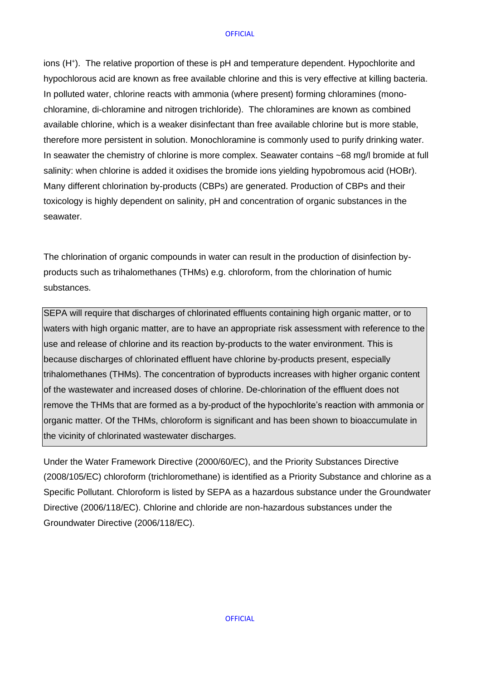ions (H<sup>+</sup>). The relative proportion of these is pH and temperature dependent. Hypochlorite and hypochlorous acid are known as free available chlorine and this is very effective at killing bacteria. In polluted water, chlorine reacts with ammonia (where present) forming chloramines (monochloramine, di-chloramine and nitrogen trichloride). The chloramines are known as combined available chlorine, which is a weaker disinfectant than free available chlorine but is more stable, therefore more persistent in solution. Monochloramine is commonly used to purify drinking water. In seawater the chemistry of chlorine is more complex. Seawater contains ~68 mg/l bromide at full salinity: when chlorine is added it oxidises the bromide ions yielding hypobromous acid (HOBr). Many different chlorination by-products (CBPs) are generated. Production of CBPs and their toxicology is highly dependent on salinity, pH and concentration of organic substances in the seawater.

The chlorination of organic compounds in water can result in the production of disinfection byproducts such as trihalomethanes (THMs) e.g. chloroform, from the chlorination of humic substances.

SEPA will require that discharges of chlorinated effluents containing high organic matter, or to waters with high organic matter, are to have an appropriate risk assessment with reference to the use and release of chlorine and its reaction by-products to the water environment. This is because discharges of chlorinated effluent have chlorine by-products present, especially trihalomethanes (THMs). The concentration of byproducts increases with higher organic content of the wastewater and increased doses of chlorine. De-chlorination of the effluent does not remove the THMs that are formed as a by-product of the hypochlorite's reaction with ammonia or organic matter. Of the THMs, chloroform is significant and has been shown to bioaccumulate in the vicinity of chlorinated wastewater discharges.

Under the Water Framework Directive (2000/60/EC), and the Priority Substances Directive (2008/105/EC) chloroform (trichloromethane) is identified as a Priority Substance and chlorine as a Specific Pollutant. Chloroform is listed by SEPA as a hazardous substance under the Groundwater Directive (2006/118/EC). Chlorine and chloride are non-hazardous substances under the Groundwater Directive (2006/118/EC).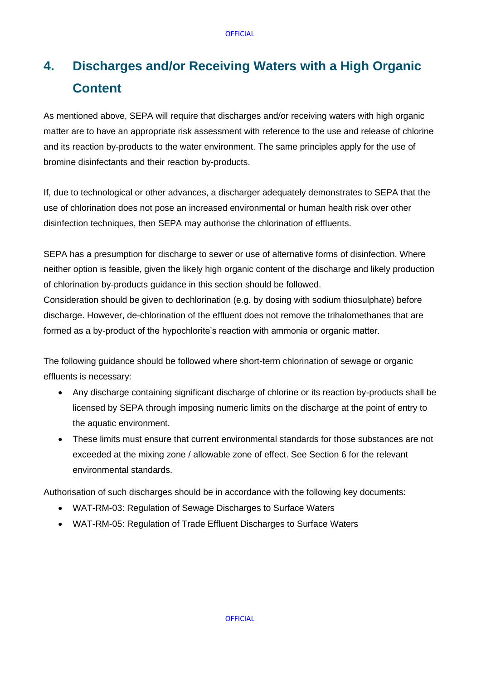# <span id="page-6-0"></span>**4. Discharges and/or Receiving Waters with a High Organic Content**

As mentioned above, SEPA will require that discharges and/or receiving waters with high organic matter are to have an appropriate risk assessment with reference to the use and release of chlorine and its reaction by-products to the water environment. The same principles apply for the use of bromine disinfectants and their reaction by-products.

If, due to technological or other advances, a discharger adequately demonstrates to SEPA that the use of chlorination does not pose an increased environmental or human health risk over other disinfection techniques, then SEPA may authorise the chlorination of effluents.

SEPA has a presumption for discharge to sewer or use of alternative forms of disinfection. Where neither option is feasible, given the likely high organic content of the discharge and likely production of chlorination by-products guidance in this section should be followed.

Consideration should be given to dechlorination (e.g. by dosing with sodium thiosulphate) before discharge. However, de-chlorination of the effluent does not remove the trihalomethanes that are formed as a by-product of the hypochlorite's reaction with ammonia or organic matter.

The following guidance should be followed where short-term chlorination of sewage or organic effluents is necessary:

- Any discharge containing significant discharge of chlorine or its reaction by-products shall be licensed by SEPA through imposing numeric limits on the discharge at the point of entry to the aquatic environment.
- These limits must ensure that current environmental standards for those substances are not exceeded at the mixing zone / allowable zone of effect. See Section 6 for the relevant environmental standards.

Authorisation of such discharges should be in accordance with the following key documents:

- [WAT-RM-03: Regulation](http://stir-app-qpl01/QPulseDocumentService/Documents.svc/documents/active/attachment?number=WAT-RM-03) [of Sewage Discharges to Surface Waters](http://stir-app-qpl01/QPulseDocumentService/Documents.svc/documents/active/attachment?number=WAT-RM-03)
- [WAT-RM-05: Regulation of Trade Effluent Discharges to Surface Waters](http://stir-app-qpl01/QPulseDocumentService/Documents.svc/documents/active/attachment?number=WAT-RM-05)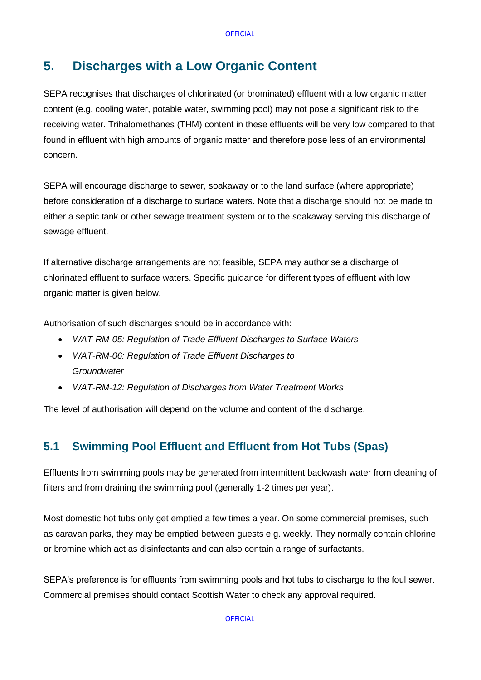# <span id="page-7-0"></span>**5. Discharges with a Low Organic Content**

SEPA recognises that discharges of chlorinated (or brominated) effluent with a low organic matter content (e.g. cooling water, potable water, swimming pool) may not pose a significant risk to the receiving water. Trihalomethanes (THM) content in these effluents will be very low compared to that found in effluent with high amounts of organic matter and therefore pose less of an environmental concern.

SEPA will encourage discharge to sewer, soakaway or to the land surface (where appropriate) before consideration of a discharge to surface waters. Note that a discharge should not be made to either a septic tank or other sewage treatment system or to the soakaway serving this discharge of sewage effluent.

If alternative discharge arrangements are not feasible, SEPA may authorise a discharge of chlorinated effluent to surface waters. Specific guidance for different types of effluent with low organic matter is given below.

Authorisation of such discharges should be in accordance with:

- *[WAT-RM-05: Regulation of Trade Effluent Discharges to Surface Waters](http://stir-app-qpl01/QPulseDocumentService/Documents.svc/documents/active/attachment?number=WAT-RM-05)*
- *[WAT-RM-06: Regulation of Trade Effluent Discharges to](http://stir-app-qpl01/QPulseDocumentService/Documents.svc/documents/active/attachment?number=WAT-RM-06)  [Groundwater](http://stir-app-qpl01/QPulseDocumentService/Documents.svc/documents/active/attachment?number=WAT-RM-06)*
- *[WAT-RM-12: Regulation of Discharges from Water Treatment Works](http://stir-app-qpl01/QPulseDocumentService/Documents.svc/documents/active/attachment?number=WAT-RM-12)*

The level of authorisation will depend on the volume and content of the discharge.

### **5.1 Swimming Pool Effluent and Effluent from Hot Tubs (Spas)**

Effluents from swimming pools may be generated from intermittent backwash water from cleaning of filters and from draining the swimming pool (generally 1-2 times per year).

Most domestic hot tubs only get emptied a few times a year. On some commercial premises, such as caravan parks, they may be emptied between guests e.g. weekly. They normally contain chlorine or bromine which act as disinfectants and can also contain a range of surfactants.

SEPA's preference is for effluents from swimming pools and hot tubs to discharge to the foul sewer. Commercial premises should contact Scottish Water to check any approval required.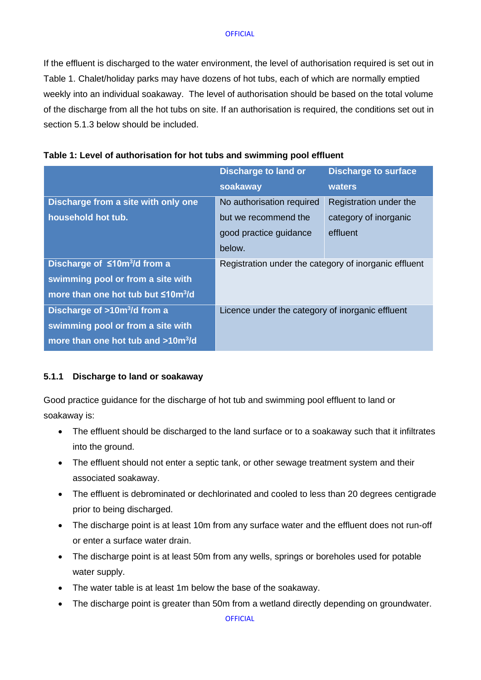If the effluent is discharged to the water environment, the level of authorisation required is set out in Table 1. Chalet/holiday parks may have dozens of hot tubs, each of which are normally emptied weekly into an individual soakaway. The level of authorisation should be based on the total volume of the discharge from all the hot tubs on site. If an authorisation is required, the conditions set out in section 5.1.3 below should be included.

|                                                | <b>Discharge to land or</b>                           | <b>Discharge to surface</b> |
|------------------------------------------------|-------------------------------------------------------|-----------------------------|
|                                                | soakaway                                              | waters                      |
| Discharge from a site with only one            | No authorisation required                             | Registration under the      |
| household hot tub.                             | but we recommend the                                  | category of inorganic       |
|                                                | good practice guidance                                | effluent                    |
|                                                | below.                                                |                             |
| Discharge of ≤10m <sup>3</sup> /d from a       | Registration under the category of inorganic effluent |                             |
| swimming pool or from a site with              |                                                       |                             |
| more than one hot tub but ≤10m <sup>3</sup> /d |                                                       |                             |
| Discharge of $>10m^3/d$ from a                 | Licence under the category of inorganic effluent      |                             |
| swimming pool or from a site with              |                                                       |                             |
| more than one hot tub and >10m <sup>3</sup> /d |                                                       |                             |

#### **5.1.1 Discharge to land or soakaway**

Good practice guidance for the discharge of hot tub and swimming pool effluent to land or soakaway is:

- The effluent should be discharged to the land surface or to a soakaway such that it infiltrates into the ground.
- The effluent should not enter a septic tank, or other sewage treatment system and their associated soakaway.
- The effluent is debrominated or dechlorinated and cooled to less than 20 degrees centigrade prior to being discharged.
- The discharge point is at least 10m from any surface water and the effluent does not run-off or enter a surface water drain.
- The discharge point is at least 50m from any wells, springs or boreholes used for potable water supply.
- The water table is at least 1m below the base of the soakaway.
- The discharge point is greater than 50m from a wetland directly depending on groundwater.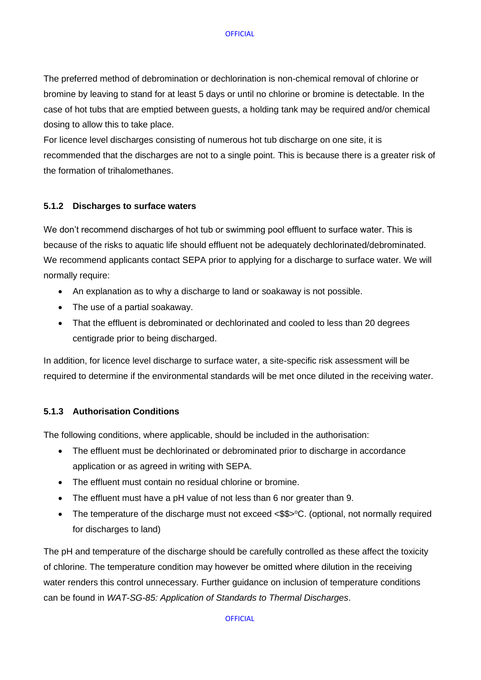The preferred method of debromination or dechlorination is non-chemical removal of chlorine or bromine by leaving to stand for at least 5 days or until no chlorine or bromine is detectable. In the case of hot tubs that are emptied between guests, a holding tank may be required and/or chemical dosing to allow this to take place.

For licence level discharges consisting of numerous hot tub discharge on one site, it is recommended that the discharges are not to a single point. This is because there is a greater risk of the formation of trihalomethanes.

#### **5.1.2 Discharges to surface waters**

We don't recommend discharges of hot tub or swimming pool effluent to surface water. This is because of the risks to aquatic life should effluent not be adequately dechlorinated/debrominated. We recommend applicants contact SEPA prior to applying for a discharge to surface water. We will normally require:

- An explanation as to why a discharge to land or soakaway is not possible.
- The use of a partial soakaway.
- That the effluent is debrominated or dechlorinated and cooled to less than 20 degrees centigrade prior to being discharged.

In addition, for licence level discharge to surface water, a site-specific risk assessment will be required to determine if the environmental standards will be met once diluted in the receiving water.

#### **5.1.3 Authorisation Conditions**

The following conditions, where applicable, should be included in the authorisation:

- The effluent must be dechlorinated or debrominated prior to discharge in accordance application or as agreed in writing with SEPA.
- The effluent must contain no residual chlorine or bromine.
- The effluent must have a pH value of not less than 6 nor greater than 9.
- The temperature of the discharge must not exceed  $\langle \$\$   $>$ °C. (optional, not normally required for discharges to land)

The pH and temperature of the discharge should be carefully controlled as these affect the toxicity of chlorine. The temperature condition may however be omitted where dilution in the receiving water renders this control unnecessary. Further guidance on inclusion of temperature conditions can be found in *[WAT-SG-85: Application of Standards to Thermal Discharges](http://stir-app-qpl01/QPulseDocumentService/Documents.svc/documents/active/attachment?number=WAT-SG-85)*[.](http://stir-app-qpl01/QPulseDocumentService/Documents.svc/documents/active/attachment?number=WAT-SG-85)

**OFFICIAL**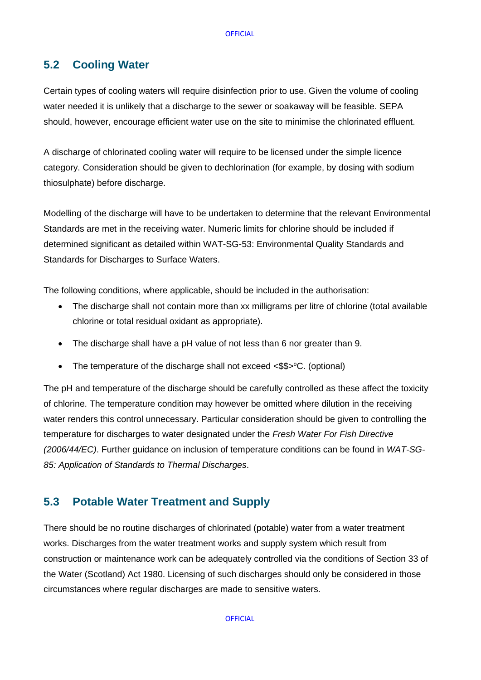### **5.2 Cooling Water**

Certain types of cooling waters will require disinfection prior to use. Given the volume of cooling water needed it is unlikely that a discharge to the sewer or soakaway will be feasible. SEPA should, however, encourage efficient water use on the site to minimise the chlorinated effluent.

A discharge of chlorinated cooling water will require to be licensed under the simple licence category. Consideration should be given to dechlorination (for example, by dosing with sodium thiosulphate) before discharge.

Modelling of the discharge will have to be undertaken to determine that the relevant Environmental Standards are met in the receiving water. Numeric limits for chlorine should be included if determined significant as detailed withi[n](http://stir-app-qpl01/QPulseDocumentService/Documents.svc/documents/active/attachment?number=WAT-SG-53) [WAT-SG-53: Environmental Quality Standards and](http://stir-app-qpl01/QPulseDocumentService/Documents.svc/documents/active/attachment?number=WAT-SG-53)  [Standards for Discharges to Surface Waters.](http://stir-app-qpl01/QPulseDocumentService/Documents.svc/documents/active/attachment?number=WAT-SG-53)

The following conditions, where applicable, should be included in the authorisation:

- The discharge shall not contain more than xx milligrams per litre of chlorine (total available chlorine or total residual oxidant as appropriate).
- The discharge shall have a pH value of not less than 6 nor greater than 9.
- The temperature of the discharge shall not exceed  $\langle \$\$   $\rangle$ <sup>°</sup>C. (optional)

The pH and temperature of the discharge should be carefully controlled as these affect the toxicity of chlorine. The temperature condition may however be omitted where dilution in the receiving water renders this control unnecessary. Particular consideration should be given to controlling the temperature for discharges to water designated under the *Fresh Water For Fish Directive (2006/44/EC)*. Further guidance on inclusion of temperature conditions can be found in *[WAT-SG-](http://stir-app-qpl01/QPulseDocumentService/Documents.svc/documents/active/attachment?number=WAT-SG-85)[85: Application of Standards to Thermal Discharges](http://stir-app-qpl01/QPulseDocumentService/Documents.svc/documents/active/attachment?number=WAT-SG-85)*[.](http://stir-app-qpl01/QPulseDocumentService/Documents.svc/documents/active/attachment?number=WAT-SG-85)

### **5.3 Potable Water Treatment and Supply**

There should be no routine discharges of chlorinated (potable) water from a water treatment works. Discharges from the water treatment works and supply system which result from construction or maintenance work can be adequately controlled via the conditions of Section 33 of the Water (Scotland) Act 1980. Licensing of such discharges should only be considered in those circumstances where regular discharges are made to sensitive waters.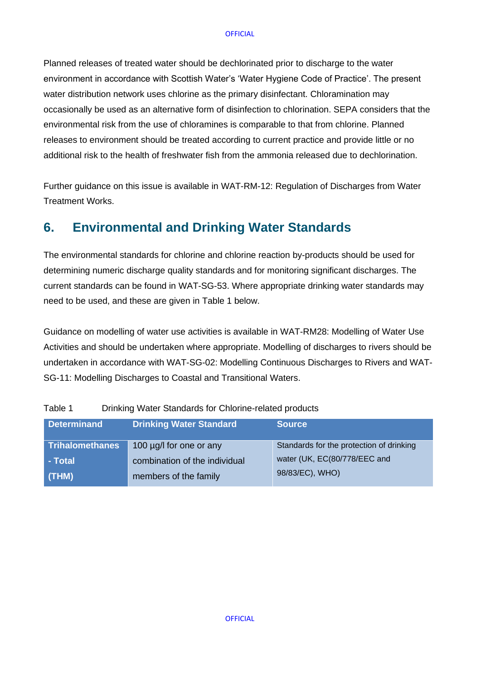Planned releases of treated water should be dechlorinated prior to discharge to the water environment in accordance with Scottish Water's 'Water Hygiene Code of Practice'. The present water distribution network uses chlorine as the primary disinfectant. Chloramination may occasionally be used as an alternative form of disinfection to chlorination. SEPA considers that the environmental risk from the use of chloramines is comparable to that from chlorine. Planned releases to environment should be treated according to current practice and provide little or no additional risk to the health of freshwater fish from the ammonia released due to dechlorination.

Further guidance on this issue is available in [WAT-RM-12: Regulation of Discharges from Water](http://stir-app-qpl01/QPulseDocumentService/Documents.svc/documents/active/attachment?number=WAT-RM-12)  [Treatment Works.](http://stir-app-qpl01/QPulseDocumentService/Documents.svc/documents/active/attachment?number=WAT-RM-12)

## <span id="page-11-0"></span>**6. Environmental and Drinking Water Standards**

The environmental standards for chlorine and chlorine reaction by-products should be used for determining numeric discharge quality standards and for monitoring significant discharges. The current standards can be found in [WAT-SG-53.](http://stir-app-qpl01/QPulseDocumentService/Documents.svc/documents/active/attachment?number=WAT-SG-53) Where appropriate drinking water standards may need to be used, and these are given in Table 1 below.

Guidance on modelling of water use activities is available in [WAT-RM28: Modelling of Water Use](http://stir-app-qpl01/QPulseDocumentService/Documents.svc/documents/active/attachment?number=WAT-RM-28)  [Activities](http://stir-app-qpl01/QPulseDocumentService/Documents.svc/documents/active/attachment?number=WAT-RM-28) and should be undertaken where appropriate. Modelling of discharges to rivers should be undertaken in accordance with [WAT-SG-02: Modelling Continuous Discharges to Rivers](http://stir-app-qpl01/QPulseDocumentService/Documents.svc/documents/active/attachment?number=WAT-SG-02) an[d](http://stir-app-qpl01/QPulseDocumentService/Documents.svc/documents/active/attachment?number=WAT-SG-11) [WAT-](http://stir-app-qpl01/QPulseDocumentService/Documents.svc/documents/active/attachment?number=WAT-SG-11)[SG-11: Modelling Discharges to Coastal and Transitional Waters.](http://stir-app-qpl01/QPulseDocumentService/Documents.svc/documents/active/attachment?number=WAT-SG-11)

| <b>Determinand</b>     | <b>Drinking Water Standard</b> | <b>Source</b>                            |
|------------------------|--------------------------------|------------------------------------------|
| <b>Trihalomethanes</b> | 100 µg/l for one or any        | Standards for the protection of drinking |
| - Total                | combination of the individual  | water (UK, EC(80/778/EEC and             |
| (THM)                  | members of the family          | 98/83/EC), WHO)                          |

Table 1 Drinking Water Standards for Chlorine-related products